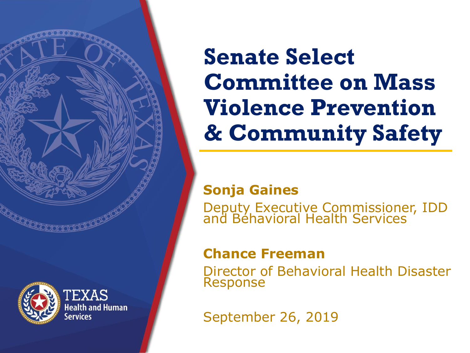



**EXAS Jealth and Human** 

## **Senate Select Committee on Mass Violence Prevention & Community Safety**

### **Sonja Gaines**

Deputy Executive Commissioner, IDD and Behavioral Health Services

### **Chance Freeman**

Director of Behavioral Health Disaster Response

September 26, 2019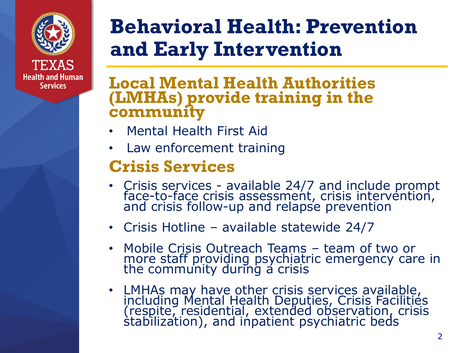

**Health and Human Services** 

## **Behavioral Health: Prevention and Early Intervention**

### **Local Mental Health Authorities (LMHAs) provide training in the community**

- Mental Health First Aid
- Law enforcement training

### **Crisis Services**

- Crisis services available 24/7 and include prompt face-to-face crisis assessment, crisis intervention, and crisis follow-up and relapse prevention
- Crisis Hotline available statewide 24/7
- Mobile Crisis Outreach Teams team of two or more staff providing psychiatric emergency care in the community during a crisis
- LMHAs may have other crisis services available, including Mental Health Deputies, Crisis Facilities (respite, residential, extended observation, crisis stabilization), and inpatient psychiatric beds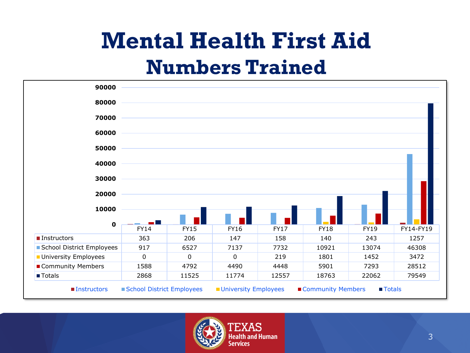## **Mental Health First Aid Numbers Trained**



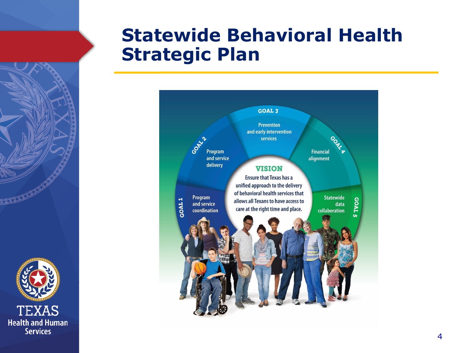

### **Statewide Behavioral Health Strategic Plan**

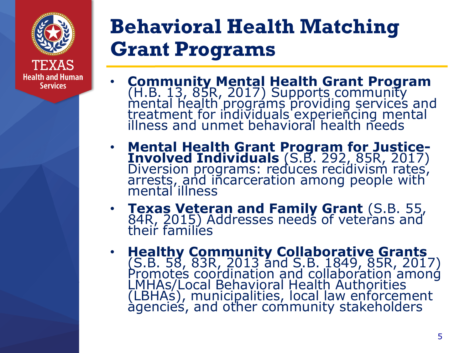

## **Behavioral Health Matching Grant Programs**

- **Community Mental Health Grant Program**  (H.B. 13, 85R, 2017) Supports community mental health prográms providing services and treatment for individuals experiencing mental illness and unmet behavioral health needs
- **Mental Health Grant Program for Justice-Involved Individuals** (S.B. 292, 85R, 2017) Diversion programs: reduces recidivism rates, arrests, and incarceration among people with mental illness
- **Texas Veteran and Family Grant** (S.B. 55, 84R, 2015) Addresses needs of veterans and their families
- **Healthy Community Collaborative Grants**  (S.B. 58, 83R, 2013 and S.B. 1849, 85R, 2017) Promotes coordination and collaboration among LMHAs/Local Behavioral Health Authorities (LBHAs), municipalities, local law enforcement agencies, and other community stakeholders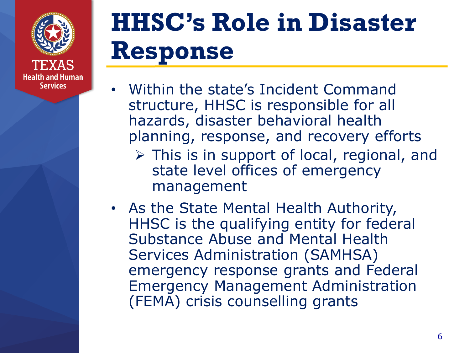

# **HHSC's Role in Disaster Response**

- Within the state's Incident Command structure, HHSC is responsible for all hazards, disaster behavioral health planning, response, and recovery efforts
	- ➢ This is in support of local, regional, and state level offices of emergency management
- As the State Mental Health Authority, HHSC is the qualifying entity for federal Substance Abuse and Mental Health Services Administration (SAMHSA) emergency response grants and Federal Emergency Management Administration (FEMA) crisis counselling grants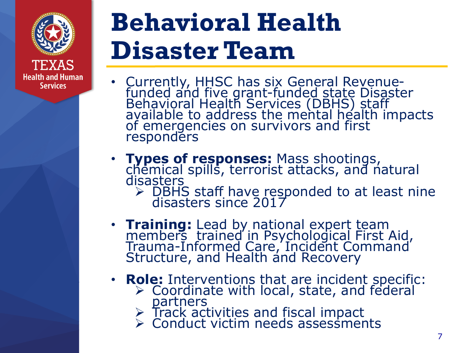

# **Behavioral Health Disaster Team**

- Currently, HHSC has six General Revenuefunded and five grant-funded state Disaster Behavioral Health Services (DBHS) staff available to address the mental health impacts of emergencies on survivors and first responders
- **Types of responses:** Mass shootings, chemical spills, terrorist attacks, and natural disasters
	- ➢ DBHS staff have responded to at least nine disasters since 2017
- **Training:** Lead by national expert team members trained in Psychological First Aid, Trauma-Informed Care, Incident Command Structure, and Health and Recovery
- **Role:** Interventions that are incident specific:
	- $\triangleright$  Coordinate with local, state, and federal **partners**
	- $\triangleright$  Track activities and fiscal impact
	- ➢ Conduct victim needs assessments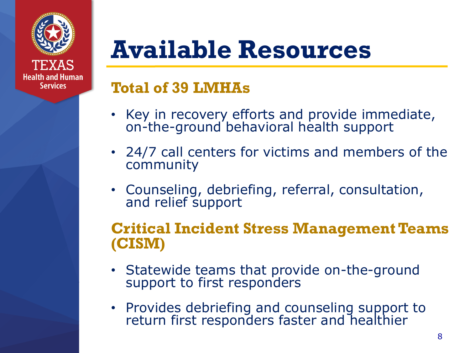

## **Available Resources**

### **Total of 39 LMHAs**

- Key in recovery efforts and provide immediate, on-the-ground behavioral health support
- 24/7 call centers for victims and members of the community
- Counseling, debriefing, referral, consultation, and relief support

### **Critical Incident Stress Management Teams (CISM)**

- Statewide teams that provide on-the-ground support to first responders
- Provides debriefing and counseling support to return first responders faster and healthier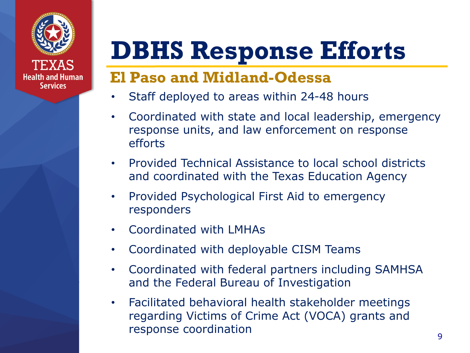

# **DBHS Response Efforts**

### **El Paso and Midland-Odessa**

- Staff deployed to areas within 24-48 hours
- Coordinated with state and local leadership, emergency response units, and law enforcement on response efforts
- Provided Technical Assistance to local school districts and coordinated with the Texas Education Agency
- Provided Psychological First Aid to emergency responders
- Coordinated with LMHAs
- Coordinated with deployable CISM Teams
- Coordinated with federal partners including SAMHSA and the Federal Bureau of Investigation
- Facilitated behavioral health stakeholder meetings regarding Victims of Crime Act (VOCA) grants and response coordination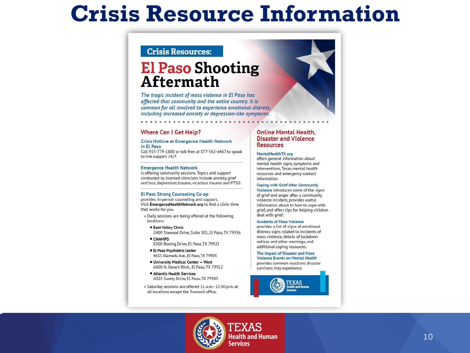## **Crisis Resource Information**

#### **Crisis Resources:**

### **El Paso Shooting Aftermath**

The tragic incident of mass violence in El Paso has affected that community and the entire country. It is common for all involved to experience emotional distress, including increased anxiety or depression-like symptoms.

#### **Where Can I Get Help?**

#### **Crisis Hotline at Emergence Health Network** in El Paso

Call 915-779-1800 or toll-free at 877-562-6467 to speak to live support 24/7.

#### **Emergence Health Network**

is offering community sessions. Topics and support conducted by licensed clinicians include anxiety, grief and loss, depression, trauma, vicarious trauma and PTSD.

#### **El Paso Strong Counseling Co-op**

provides in-person counseling and support. Visit EmergenceHealthNetwork.org to find a clinic time that works for you.

- . Daily sessions are being offered at the following locations:
- **East Valley Clinic** 2400 Trawood Drive, Suite 301, El Paso, TX 79936
- **CHAMPS** 8500 Boeing Drive, El Paso, TX 79925
- **El Paso Psychiatric Center** 4615 Alameda Ave., El Paso, TX 79905
- University Medical Center West 6600 N. Desert Blvd., El Paso, TX 79912
- Atlantis Health Services 6028 Surety Drive, El Paso, TX 79905
- · Saturday sessions are offered 11 a.m.-12:30 p.m. at all locations except the Trawood office.

#### **Online Mental Health. Disaster and Violence Resources**

#### MentalHealthTX.org

offers general information about mental health signs, symptoms and interventions, Texas mental health resources and emergency contact information.

#### **Coping with Grief After Community**

Violence introduces some of the signs of grief and anger after a community violence incident, provides useful information about to how to cope with grief, and offers tips for helping children deal with grief.

#### **Incidents of Mass Violence**

provides a list of signs of emotional distress signs related to incidents of mass violence, details of lockdown notices and other warnings, and additional coping resources.

The Impact of Disaster and Mass **Violence Events on Mental Health** provides common reactions disaster survivors may experience.



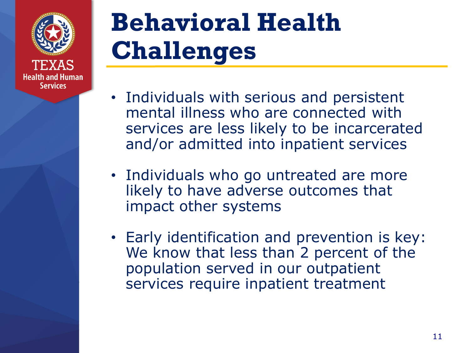

# **Behavioral Health Challenges**

- Individuals with serious and persistent mental illness who are connected with services are less likely to be incarcerated and/or admitted into inpatient services
- Individuals who go untreated are more likely to have adverse outcomes that impact other systems
- Early identification and prevention is key: We know that less than 2 percent of the population served in our outpatient services require inpatient treatment